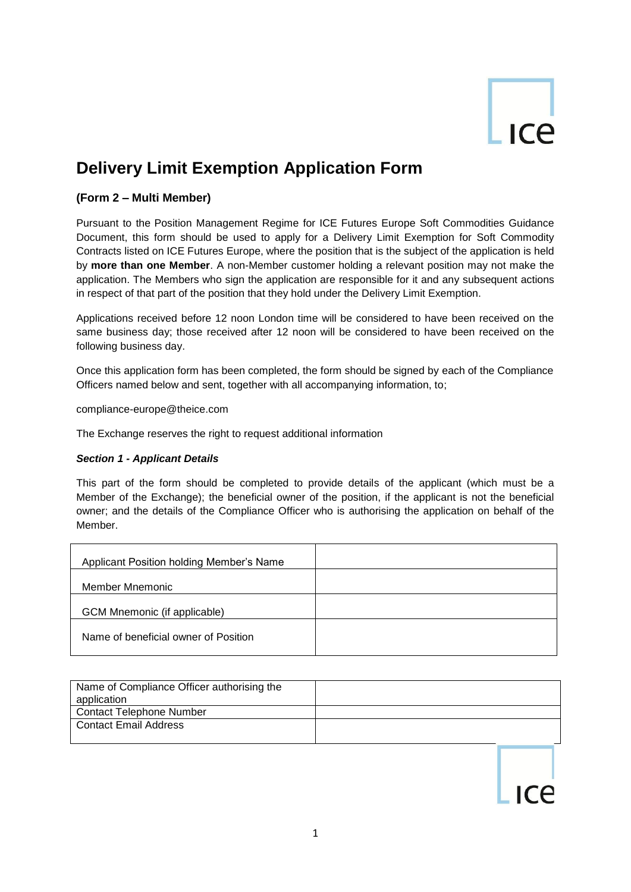# ICA

# **Delivery Limit Exemption Application Form**

# **(Form 2 – Multi Member)**

Pursuant to the Position Management Regime for ICE Futures Europe Soft Commodities Guidance Document, this form should be used to apply for a Delivery Limit Exemption for Soft Commodity Contracts listed on ICE Futures Europe, where the position that is the subject of the application is held by **more than one Member**. A non-Member customer holding a relevant position may not make the application. The Members who sign the application are responsible for it and any subsequent actions in respect of that part of the position that they hold under the Delivery Limit Exemption.

Applications received before 12 noon London time will be considered to have been received on the same business day; those received after 12 noon will be considered to have been received on the following business day.

Once this application form has been completed, the form should be signed by each of the Compliance Officers named below and sent, together with all accompanying information, to;

compliance-europe@theice.com

The Exchange reserves the right to request additional information

#### *Section 1 - Applicant Details*

This part of the form should be completed to provide details of the applicant (which must be a Member of the Exchange); the beneficial owner of the position, if the applicant is not the beneficial owner; and the details of the Compliance Officer who is authorising the application on behalf of the Member.

| Applicant Position holding Member's Name |  |
|------------------------------------------|--|
| Member Mnemonic                          |  |
| GCM Mnemonic (if applicable)             |  |
| Name of beneficial owner of Position     |  |

| Name of Compliance Officer authorising the<br>application |  |
|-----------------------------------------------------------|--|
| <b>Contact Telephone Number</b>                           |  |
| <b>Contact Email Address</b>                              |  |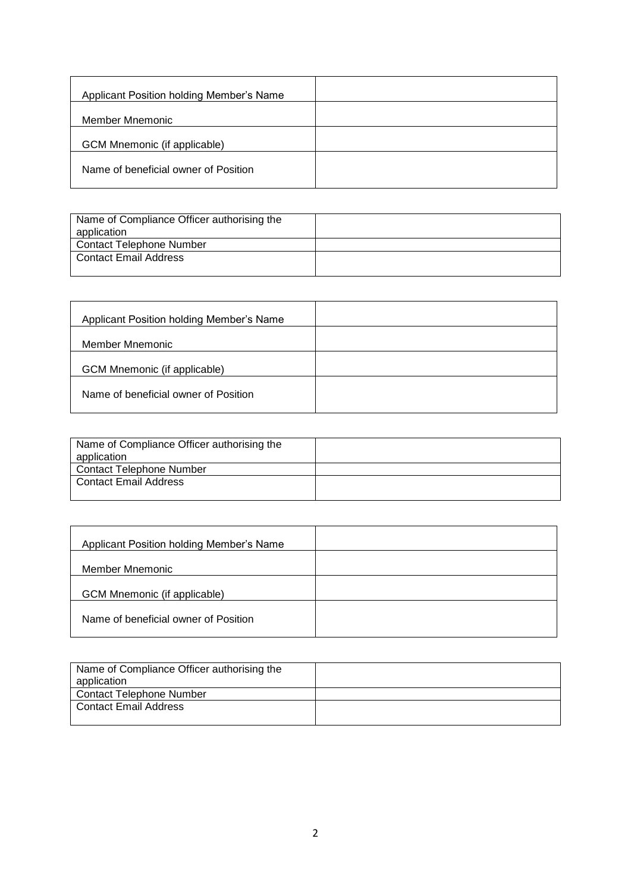| Applicant Position holding Member's Name |  |
|------------------------------------------|--|
| Member Mnemonic                          |  |
| GCM Mnemonic (if applicable)             |  |
| Name of beneficial owner of Position     |  |

| Name of Compliance Officer authorising the<br>application |  |
|-----------------------------------------------------------|--|
| <b>Contact Telephone Number</b>                           |  |
| Contact Email Address                                     |  |

| Applicant Position holding Member's Name |  |
|------------------------------------------|--|
| Member Mnemonic                          |  |
| GCM Mnemonic (if applicable)             |  |
| Name of beneficial owner of Position     |  |

| Name of Compliance Officer authorising the |  |
|--------------------------------------------|--|
| application                                |  |
| <b>Contact Telephone Number</b>            |  |
| <b>Contact Email Address</b>               |  |
|                                            |  |

| Name of Compliance Officer authorising the<br>application |  |
|-----------------------------------------------------------|--|
| <b>Contact Telephone Number</b>                           |  |
| <b>Contact Email Address</b>                              |  |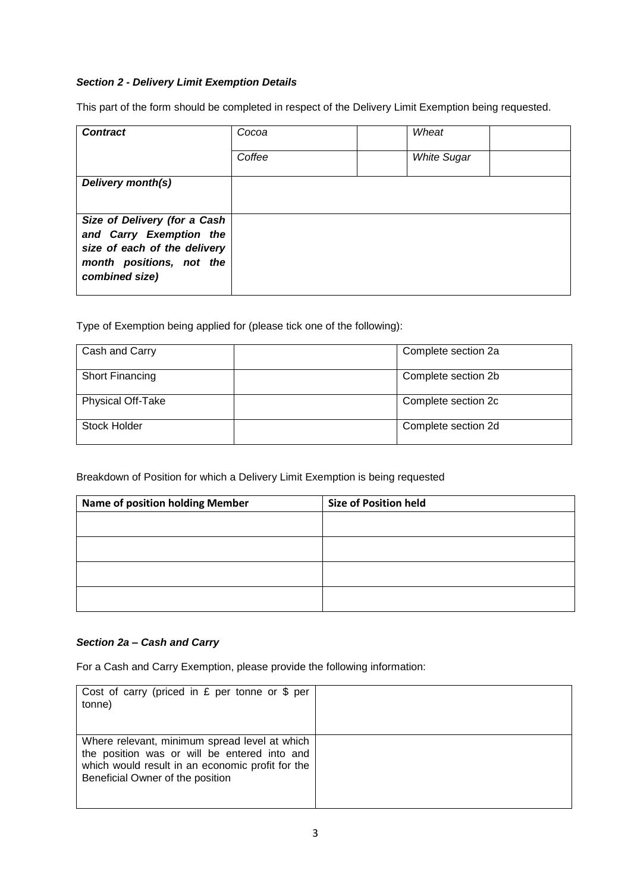## *Section 2 - Delivery Limit Exemption Details*

This part of the form should be completed in respect of the Delivery Limit Exemption being requested.

| <b>Contract</b>                                                                                                     | Cocoa  | Wheat              |  |
|---------------------------------------------------------------------------------------------------------------------|--------|--------------------|--|
|                                                                                                                     | Coffee | <b>White Sugar</b> |  |
| Delivery month(s)                                                                                                   |        |                    |  |
| Size of Delivery (for a Cash<br>and Carry Exemption the<br>size of each of the delivery<br>month positions, not the |        |                    |  |
| combined size)                                                                                                      |        |                    |  |

Type of Exemption being applied for (please tick one of the following):

| Cash and Carry           | Complete section 2a |
|--------------------------|---------------------|
| <b>Short Financing</b>   | Complete section 2b |
| <b>Physical Off-Take</b> | Complete section 2c |
| Stock Holder             | Complete section 2d |

Breakdown of Position for which a Delivery Limit Exemption is being requested

| <b>Name of position holding Member</b> | <b>Size of Position held</b> |
|----------------------------------------|------------------------------|
|                                        |                              |
|                                        |                              |
|                                        |                              |
|                                        |                              |
|                                        |                              |

#### *Section 2a – Cash and Carry*

For a Cash and Carry Exemption, please provide the following information:

| Cost of carry (priced in $E$ per tonne or $\frac{1}{2}$ per<br>tonne)                                                                                                                 |  |
|---------------------------------------------------------------------------------------------------------------------------------------------------------------------------------------|--|
| Where relevant, minimum spread level at which<br>the position was or will be entered into and<br>which would result in an economic profit for the<br>Beneficial Owner of the position |  |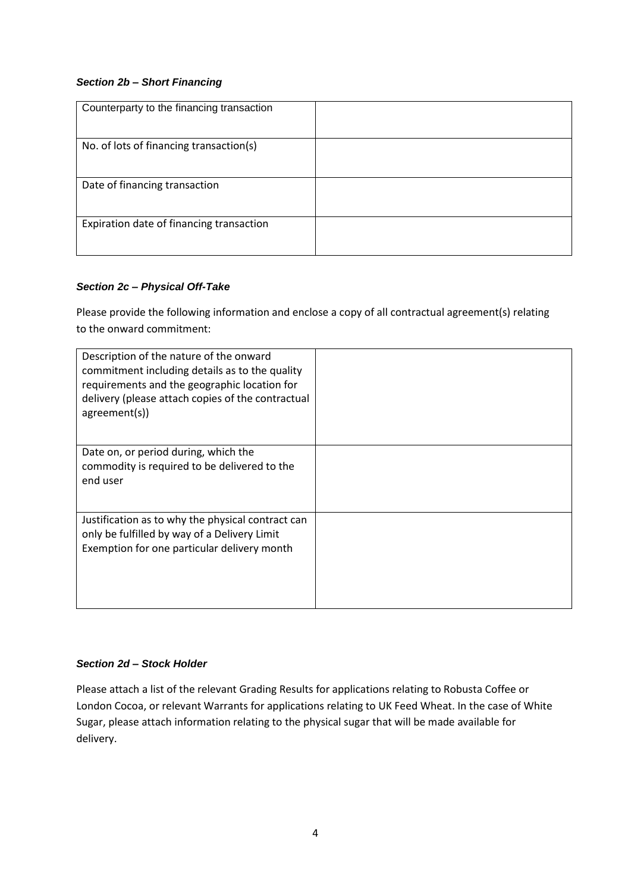#### *Section 2b – Short Financing*

| Counterparty to the financing transaction |  |
|-------------------------------------------|--|
| No. of lots of financing transaction(s)   |  |
| Date of financing transaction             |  |
| Expiration date of financing transaction  |  |

## *Section 2c – Physical Off-Take*

Please provide the following information and enclose a copy of all contractual agreement(s) relating to the onward commitment:

| Description of the nature of the onward<br>commitment including details as to the quality<br>requirements and the geographic location for<br>delivery (please attach copies of the contractual<br>agreement(s)) |  |
|-----------------------------------------------------------------------------------------------------------------------------------------------------------------------------------------------------------------|--|
| Date on, or period during, which the<br>commodity is required to be delivered to the<br>end user                                                                                                                |  |
| Justification as to why the physical contract can<br>only be fulfilled by way of a Delivery Limit<br>Exemption for one particular delivery month                                                                |  |

#### *Section 2d – Stock Holder*

Please attach a list of the relevant Grading Results for applications relating to Robusta Coffee or London Cocoa, or relevant Warrants for applications relating to UK Feed Wheat. In the case of White Sugar, please attach information relating to the physical sugar that will be made available for delivery.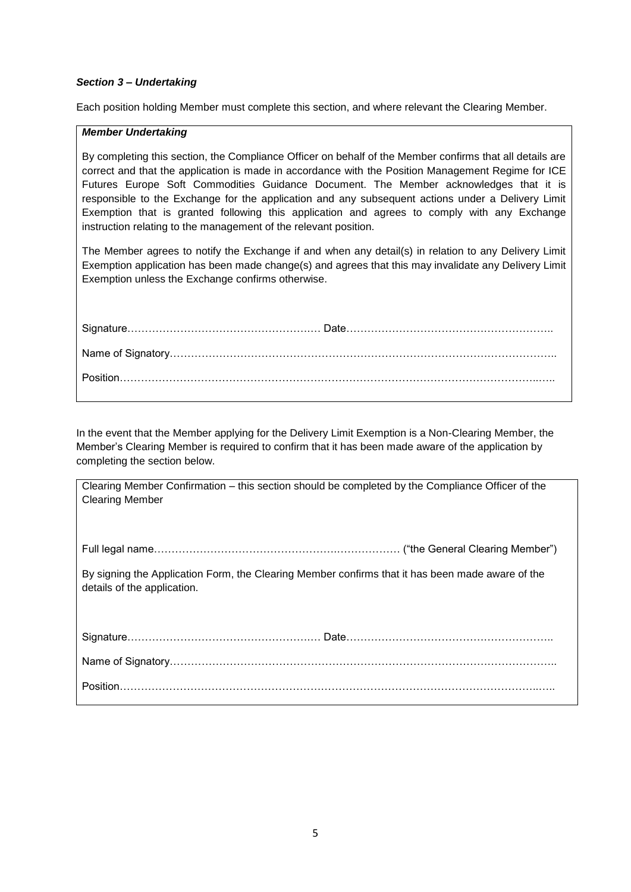Each position holding Member must complete this section, and where relevant the Clearing Member.

#### *Member Undertaking*

By completing this section, the Compliance Officer on behalf of the Member confirms that all details are correct and that the application is made in accordance with the Position Management Regime for ICE Futures Europe Soft Commodities Guidance Document. The Member acknowledges that it is responsible to the Exchange for the application and any subsequent actions under a Delivery Limit Exemption that is granted following this application and agrees to comply with any Exchange instruction relating to the management of the relevant position.

The Member agrees to notify the Exchange if and when any detail(s) in relation to any Delivery Limit Exemption application has been made change(s) and agrees that this may invalidate any Delivery Limit Exemption unless the Exchange confirms otherwise.

| Clearing Member Confirmation – this section should be completed by the Compliance Officer of the<br><b>Clearing Member</b>      |
|---------------------------------------------------------------------------------------------------------------------------------|
|                                                                                                                                 |
| By signing the Application Form, the Clearing Member confirms that it has been made aware of the<br>details of the application. |
|                                                                                                                                 |
|                                                                                                                                 |
|                                                                                                                                 |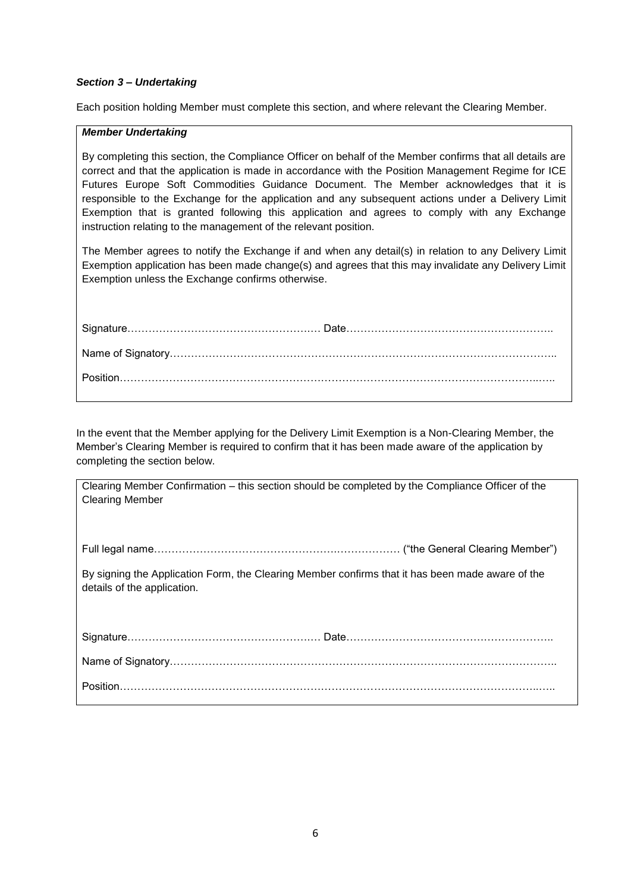Each position holding Member must complete this section, and where relevant the Clearing Member.

#### *Member Undertaking*

By completing this section, the Compliance Officer on behalf of the Member confirms that all details are correct and that the application is made in accordance with the Position Management Regime for ICE Futures Europe Soft Commodities Guidance Document. The Member acknowledges that it is responsible to the Exchange for the application and any subsequent actions under a Delivery Limit Exemption that is granted following this application and agrees to comply with any Exchange instruction relating to the management of the relevant position.

The Member agrees to notify the Exchange if and when any detail(s) in relation to any Delivery Limit Exemption application has been made change(s) and agrees that this may invalidate any Delivery Limit Exemption unless the Exchange confirms otherwise.

| Clearing Member Confirmation – this section should be completed by the Compliance Officer of the |
|--------------------------------------------------------------------------------------------------|
| <b>Clearing Member</b>                                                                           |
|                                                                                                  |
|                                                                                                  |
|                                                                                                  |
|                                                                                                  |
| By signing the Application Form, the Clearing Member confirms that it has been made aware of the |
| details of the application.                                                                      |
|                                                                                                  |
|                                                                                                  |
|                                                                                                  |
|                                                                                                  |
|                                                                                                  |
|                                                                                                  |
|                                                                                                  |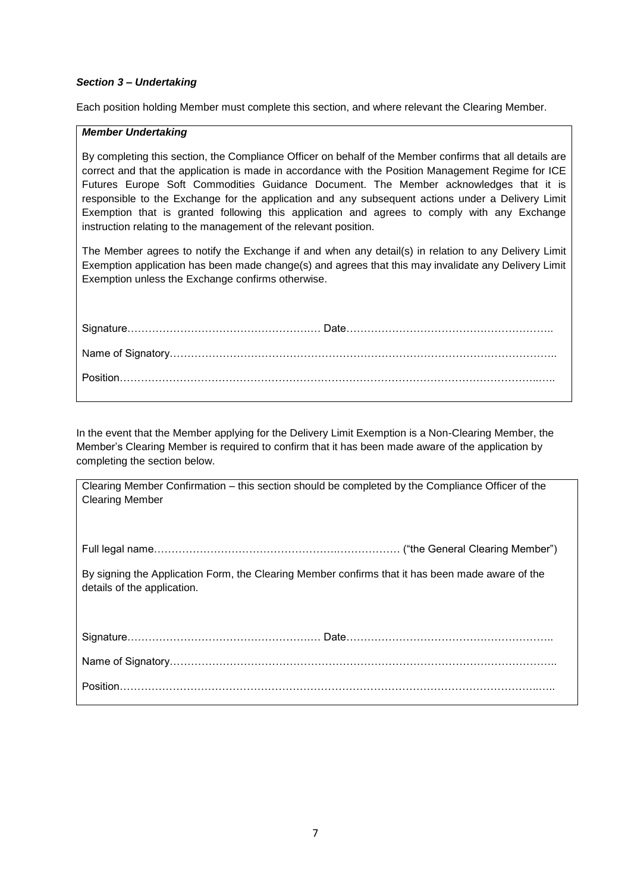Each position holding Member must complete this section, and where relevant the Clearing Member.

#### *Member Undertaking*

By completing this section, the Compliance Officer on behalf of the Member confirms that all details are correct and that the application is made in accordance with the Position Management Regime for ICE Futures Europe Soft Commodities Guidance Document. The Member acknowledges that it is responsible to the Exchange for the application and any subsequent actions under a Delivery Limit Exemption that is granted following this application and agrees to comply with any Exchange instruction relating to the management of the relevant position.

The Member agrees to notify the Exchange if and when any detail(s) in relation to any Delivery Limit Exemption application has been made change(s) and agrees that this may invalidate any Delivery Limit Exemption unless the Exchange confirms otherwise.

| Clearing Member Confirmation – this section should be completed by the Compliance Officer of the |
|--------------------------------------------------------------------------------------------------|
| <b>Clearing Member</b>                                                                           |
|                                                                                                  |
|                                                                                                  |
|                                                                                                  |
|                                                                                                  |
|                                                                                                  |
|                                                                                                  |
| By signing the Application Form, the Clearing Member confirms that it has been made aware of the |
|                                                                                                  |
| details of the application.                                                                      |
|                                                                                                  |
|                                                                                                  |
|                                                                                                  |
|                                                                                                  |
|                                                                                                  |
|                                                                                                  |
|                                                                                                  |
|                                                                                                  |
|                                                                                                  |
|                                                                                                  |
|                                                                                                  |